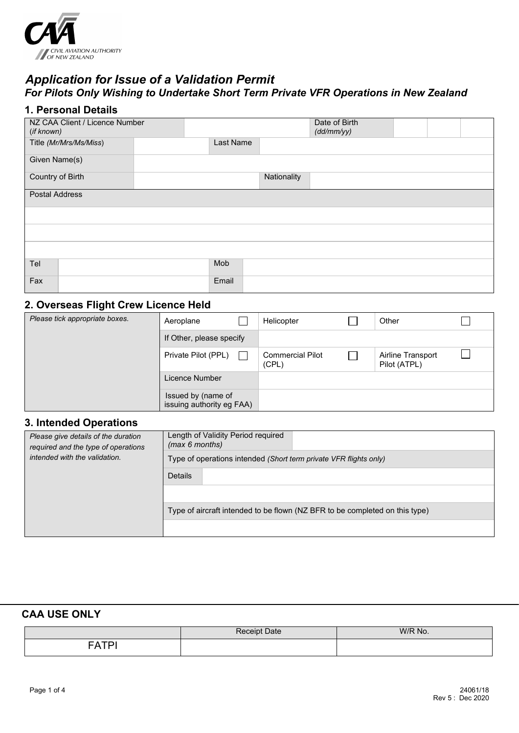

## *Application for Issue of a Validation Permit For Pilots Only Wishing to Undertake Short Term Private VFR Operations in New Zealand*

### **1. Personal Details**

| NZ CAA Client / Licence Number<br>(if known) |           |             | Date of Birth<br>(dd/mm/yy) |  |  |
|----------------------------------------------|-----------|-------------|-----------------------------|--|--|
| Title (Mr/Mrs/Ms/Miss)                       | Last Name |             |                             |  |  |
| Given Name(s)                                |           |             |                             |  |  |
| Country of Birth                             |           | Nationality |                             |  |  |
| <b>Postal Address</b>                        |           |             |                             |  |  |
|                                              |           |             |                             |  |  |
|                                              |           |             |                             |  |  |
|                                              |           |             |                             |  |  |
| Tel                                          | Mob       |             |                             |  |  |
| Fax                                          | Email     |             |                             |  |  |

### **2. Overseas Flight Crew Licence Held**

| Please tick appropriate boxes. | Aeroplane                                       | Helicopter                       | Other                             |  |
|--------------------------------|-------------------------------------------------|----------------------------------|-----------------------------------|--|
|                                | If Other, please specify                        |                                  |                                   |  |
|                                | Private Pilot (PPL)                             | <b>Commercial Pilot</b><br>(CPL) | Airline Transport<br>Pilot (ATPL) |  |
|                                | Licence Number                                  |                                  |                                   |  |
|                                | Issued by (name of<br>issuing authority eg FAA) |                                  |                                   |  |

#### **3. Intended Operations**

| Please give details of the duration<br>required and the type of operations<br>intended with the validation. | Length of Validity Period required<br>(max 6 months)                        |  |
|-------------------------------------------------------------------------------------------------------------|-----------------------------------------------------------------------------|--|
|                                                                                                             | Type of operations intended (Short term private VFR flights only)           |  |
|                                                                                                             | <b>Details</b>                                                              |  |
|                                                                                                             |                                                                             |  |
|                                                                                                             | Type of aircraft intended to be flown (NZ BFR to be completed on this type) |  |
|                                                                                                             |                                                                             |  |

### **CAA USE ONLY**

|   | $\therefore$ Date | W/R No. |
|---|-------------------|---------|
| ∸ |                   |         |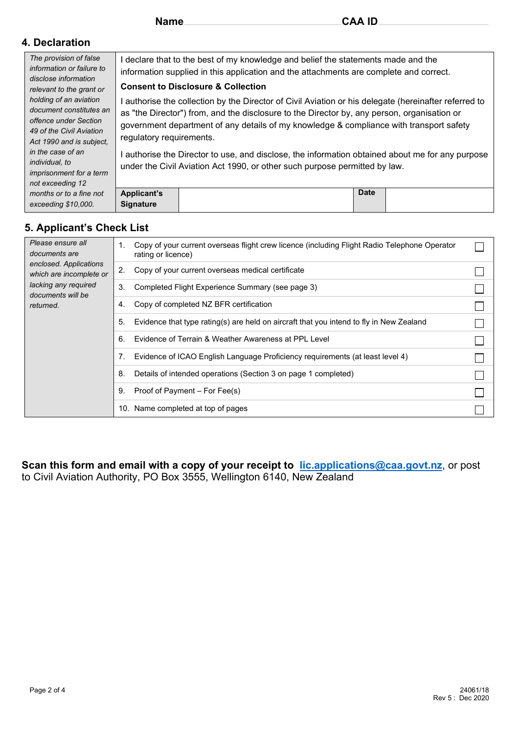#### **4. Declaration**

| The provision of false         |                                                                                                                                                                                |                                                                                                       |  |  |
|--------------------------------|--------------------------------------------------------------------------------------------------------------------------------------------------------------------------------|-------------------------------------------------------------------------------------------------------|--|--|
| information or failure to      | I declare that to the best of my knowledge and belief the statements made and the                                                                                              |                                                                                                       |  |  |
|                                | information supplied in this application and the attachments are complete and correct.<br><b>Consent to Disclosure &amp; Collection</b>                                        |                                                                                                       |  |  |
| disclose information           |                                                                                                                                                                                |                                                                                                       |  |  |
| relevant to the grant or       |                                                                                                                                                                                |                                                                                                       |  |  |
| holding of an aviation         |                                                                                                                                                                                | I authorise the collection by the Director of Civil Aviation or his delegate (hereinafter referred to |  |  |
| document constitutes an        |                                                                                                                                                                                | as "the Director") from, and the disclosure to the Director by, any person, organisation or           |  |  |
| offence under Section          | government department of any details of my knowledge & compliance with transport safety<br>regulatory requirements.                                                            |                                                                                                       |  |  |
| 49 of the Civil Aviation       |                                                                                                                                                                                |                                                                                                       |  |  |
| Act 1990 and is subject.       |                                                                                                                                                                                |                                                                                                       |  |  |
| in the case of an              |                                                                                                                                                                                |                                                                                                       |  |  |
|                                | I authorise the Director to use, and disclose, the information obtained about me for any purpose<br>under the Civil Aviation Act 1990, or other such purpose permitted by law. |                                                                                                       |  |  |
| <i>individual, to</i>          |                                                                                                                                                                                |                                                                                                       |  |  |
| <i>imprisonment for a term</i> |                                                                                                                                                                                |                                                                                                       |  |  |
| not exceeding 12               |                                                                                                                                                                                |                                                                                                       |  |  |
| months or to a fine not        | <b>Applicant's</b>                                                                                                                                                             | <b>Date</b>                                                                                           |  |  |
| exceeding \$10,000.            | <b>Signature</b>                                                                                                                                                               |                                                                                                       |  |  |

## **5. Applicant's Check List**

| Please ensure all<br>documents are<br>enclosed. Applications<br>which are incomplete or<br>lacking any required<br>documents will be<br>returned. | Copy of your current overseas flight crew licence (including Flight Radio Telephone Operator<br>1.<br>rating or licence) |  |
|---------------------------------------------------------------------------------------------------------------------------------------------------|--------------------------------------------------------------------------------------------------------------------------|--|
|                                                                                                                                                   | Copy of your current overseas medical certificate<br>2.                                                                  |  |
|                                                                                                                                                   | 3.<br>Completed Flight Experience Summary (see page 3)                                                                   |  |
|                                                                                                                                                   | Copy of completed NZ BFR certification<br>4.                                                                             |  |
|                                                                                                                                                   | Evidence that type rating(s) are held on aircraft that you intend to fly in New Zealand<br>5.                            |  |
|                                                                                                                                                   | Evidence of Terrain & Weather Awareness at PPL Level<br>6.                                                               |  |
|                                                                                                                                                   | Evidence of ICAO English Language Proficiency requirements (at least level 4)<br>7.                                      |  |
|                                                                                                                                                   | Details of intended operations (Section 3 on page 1 completed)<br>8.                                                     |  |
|                                                                                                                                                   | Proof of Payment – For Fee(s)<br>9.                                                                                      |  |
|                                                                                                                                                   | Name completed at top of pages<br>10.                                                                                    |  |

**Scan this form and email with a copy of your receipt to [lic.applications@caa.govt.nz](mailto:lic.applications@caa.govt.nz)**, or post to Civil Aviation Authority, PO Box 3555, Wellington 6140, New Zealand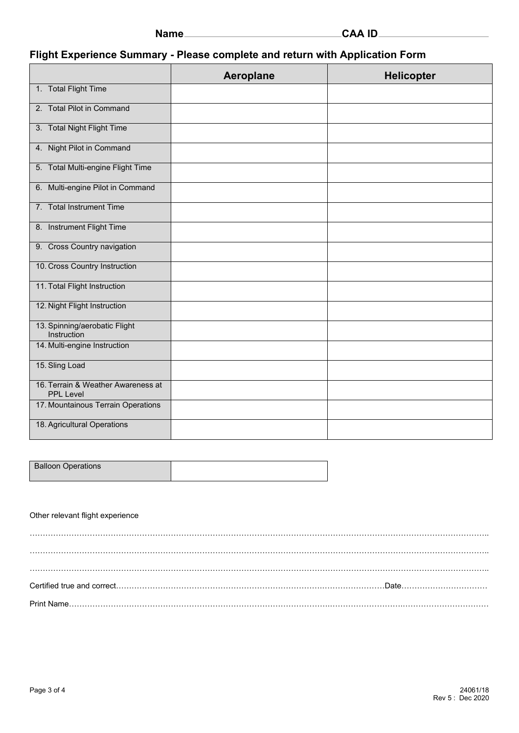| ıamı |  |
|------|--|
|------|--|

# **Flight Experience Summary - Please complete and return with Application Form**

|                                                        | Aeroplane | <b>Helicopter</b> |
|--------------------------------------------------------|-----------|-------------------|
| 1. Total Flight Time                                   |           |                   |
| 2. Total Pilot in Command                              |           |                   |
| 3. Total Night Flight Time                             |           |                   |
| 4. Night Pilot in Command                              |           |                   |
| 5. Total Multi-engine Flight Time                      |           |                   |
| 6. Multi-engine Pilot in Command                       |           |                   |
| 7. Total Instrument Time                               |           |                   |
| 8. Instrument Flight Time                              |           |                   |
| 9. Cross Country navigation                            |           |                   |
| 10. Cross Country Instruction                          |           |                   |
| 11. Total Flight Instruction                           |           |                   |
| 12. Night Flight Instruction                           |           |                   |
| 13. Spinning/aerobatic Flight<br>Instruction           |           |                   |
| 14. Multi-engine Instruction                           |           |                   |
| 15. Sling Load                                         |           |                   |
| 16. Terrain & Weather Awareness at<br><b>PPL Level</b> |           |                   |
| 17. Mountainous Terrain Operations                     |           |                   |
| 18. Agricultural Operations                            |           |                   |

| <b>Balloon Operations</b> |  |
|---------------------------|--|

#### Other relevant flight experience